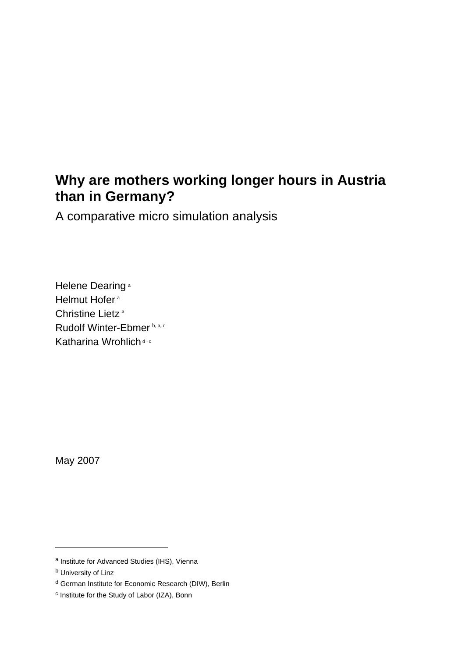# **Why are mothers working longer hours in Austria than in Germany?**

A comparative micro simulation analysis

Helene Dearing<sup>a</sup> Helmut Hofer<sup>a</sup> Christine Lietz<sup>a</sup> Rudolf Winter-Ebmer b, a, c Katharina Wrohlich dec

May 2007

<u>.</u>

a Institute for Advanced Studies (IHS), Vienna

**b** University of Linz

d German Institute for Economic Research (DIW), Berlin

c Institute for the Study of Labor (IZA), Bonn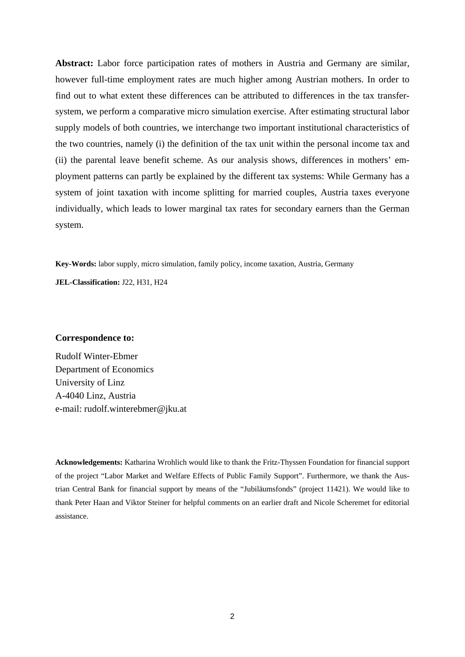**Abstract:** Labor force participation rates of mothers in Austria and Germany are similar, however full-time employment rates are much higher among Austrian mothers. In order to find out to what extent these differences can be attributed to differences in the tax transfersystem, we perform a comparative micro simulation exercise. After estimating structural labor supply models of both countries, we interchange two important institutional characteristics of the two countries, namely (i) the definition of the tax unit within the personal income tax and (ii) the parental leave benefit scheme. As our analysis shows, differences in mothers' employment patterns can partly be explained by the different tax systems: While Germany has a system of joint taxation with income splitting for married couples, Austria taxes everyone individually, which leads to lower marginal tax rates for secondary earners than the German system.

**Key-Words:** labor supply, micro simulation, family policy, income taxation, Austria, Germany

**JEL-Classification:** J22, H31, H24

#### **Correspondence to:**

Rudolf Winter-Ebmer Department of Economics University of Linz A-4040 Linz, Austria e-mail: rudolf.winterebmer@jku.at

**Acknowledgements:** Katharina Wrohlich would like to thank the Fritz-Thyssen Foundation for financial support of the project "Labor Market and Welfare Effects of Public Family Support". Furthermore, we thank the Austrian Central Bank for financial support by means of the "Jubiläumsfonds" (project 11421). We would like to thank Peter Haan and Viktor Steiner for helpful comments on an earlier draft and Nicole Scheremet for editorial assistance.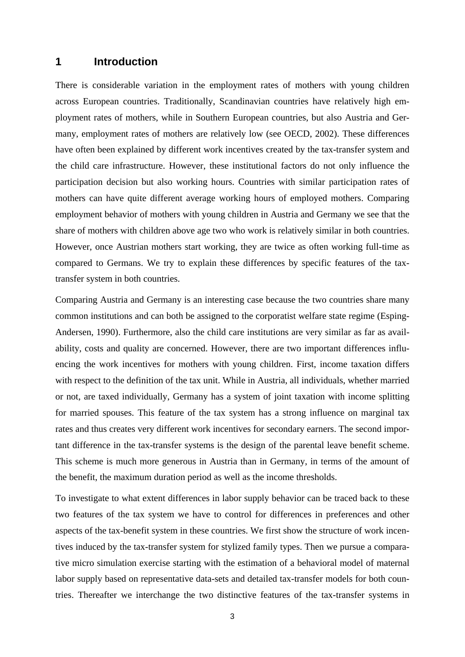## **1 Introduction**

There is considerable variation in the employment rates of mothers with young children across European countries. Traditionally, Scandinavian countries have relatively high employment rates of mothers, while in Southern European countries, but also Austria and Germany, employment rates of mothers are relatively low (see OECD, 2002). These differences have often been explained by different work incentives created by the tax-transfer system and the child care infrastructure. However, these institutional factors do not only influence the participation decision but also working hours. Countries with similar participation rates of mothers can have quite different average working hours of employed mothers. Comparing employment behavior of mothers with young children in Austria and Germany we see that the share of mothers with children above age two who work is relatively similar in both countries. However, once Austrian mothers start working, they are twice as often working full-time as compared to Germans. We try to explain these differences by specific features of the taxtransfer system in both countries.

Comparing Austria and Germany is an interesting case because the two countries share many common institutions and can both be assigned to the corporatist welfare state regime (Esping-Andersen, 1990). Furthermore, also the child care institutions are very similar as far as availability, costs and quality are concerned. However, there are two important differences influencing the work incentives for mothers with young children. First, income taxation differs with respect to the definition of the tax unit. While in Austria, all individuals, whether married or not, are taxed individually, Germany has a system of joint taxation with income splitting for married spouses. This feature of the tax system has a strong influence on marginal tax rates and thus creates very different work incentives for secondary earners. The second important difference in the tax-transfer systems is the design of the parental leave benefit scheme. This scheme is much more generous in Austria than in Germany, in terms of the amount of the benefit, the maximum duration period as well as the income thresholds.

To investigate to what extent differences in labor supply behavior can be traced back to these two features of the tax system we have to control for differences in preferences and other aspects of the tax-benefit system in these countries. We first show the structure of work incentives induced by the tax-transfer system for stylized family types. Then we pursue a comparative micro simulation exercise starting with the estimation of a behavioral model of maternal labor supply based on representative data-sets and detailed tax-transfer models for both countries. Thereafter we interchange the two distinctive features of the tax-transfer systems in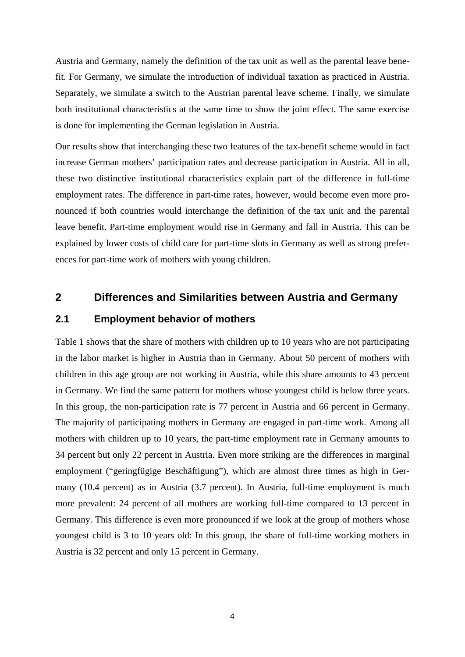Austria and Germany, namely the definition of the tax unit as well as the parental leave benefit. For Germany, we simulate the introduction of individual taxation as practiced in Austria. Separately, we simulate a switch to the Austrian parental leave scheme. Finally, we simulate both institutional characteristics at the same time to show the joint effect. The same exercise is done for implementing the German legislation in Austria.

Our results show that interchanging these two features of the tax-benefit scheme would in fact increase German mothers' participation rates and decrease participation in Austria. All in all, these two distinctive institutional characteristics explain part of the difference in full-time employment rates. The difference in part-time rates, however, would become even more pronounced if both countries would interchange the definition of the tax unit and the parental leave benefit. Part-time employment would rise in Germany and fall in Austria. This can be explained by lower costs of child care for part-time slots in Germany as well as strong preferences for part-time work of mothers with young children.

## **2 Differences and Similarities between Austria and Germany**

#### **2.1 Employment behavior of mothers**

Table 1 shows that the share of mothers with children up to 10 years who are not participating in the labor market is higher in Austria than in Germany. About 50 percent of mothers with children in this age group are not working in Austria, while this share amounts to 43 percent in Germany. We find the same pattern for mothers whose youngest child is below three years. In this group, the non-participation rate is 77 percent in Austria and 66 percent in Germany. The majority of participating mothers in Germany are engaged in part-time work. Among all mothers with children up to 10 years, the part-time employment rate in Germany amounts to 34 percent but only 22 percent in Austria. Even more striking are the differences in marginal employment ("geringfügige Beschäftigung"), which are almost three times as high in Germany (10.4 percent) as in Austria (3.7 percent). In Austria, full-time employment is much more prevalent: 24 percent of all mothers are working full-time compared to 13 percent in Germany. This difference is even more pronounced if we look at the group of mothers whose youngest child is 3 to 10 years old: In this group, the share of full-time working mothers in Austria is 32 percent and only 15 percent in Germany.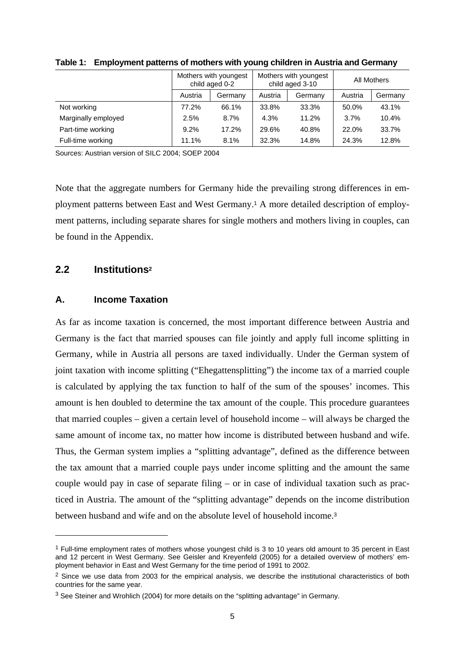|                     | Mothers with youngest<br>child aged 0-2 |         | Mothers with youngest<br>child aged 3-10 |         | All Mothers |         |
|---------------------|-----------------------------------------|---------|------------------------------------------|---------|-------------|---------|
|                     | Austria                                 | Germany | Austria                                  | Germany | Austria     | Germany |
| Not working         | 77.2%                                   | 66.1%   | 33.8%                                    | 33.3%   | 50.0%       | 43.1%   |
| Marginally employed | 2.5%                                    | 8.7%    | 4.3%                                     | 11.2%   | 3.7%        | 10.4%   |
| Part-time working   | 9.2%                                    | 17.2%   | 29.6%                                    | 40.8%   | 22.0%       | 33.7%   |
| Full-time working   | 11.1%                                   | 8.1%    | 32.3%                                    | 14.8%   | 24.3%       | 12.8%   |

**Table 1: Employment patterns of mothers with young children in Austria and Germany** 

Sources: Austrian version of SILC 2004; SOEP 2004

Note that the aggregate numbers for Germany hide the prevailing strong differences in employment patterns between East and West Germany.1 A more detailed description of employment patterns, including separate shares for single mothers and mothers living in couples, can be found in the Appendix.

#### **2.2 Institutions2**

<u>.</u>

#### **A. Income Taxation**

As far as income taxation is concerned, the most important difference between Austria and Germany is the fact that married spouses can file jointly and apply full income splitting in Germany, while in Austria all persons are taxed individually. Under the German system of joint taxation with income splitting ("Ehegattensplitting") the income tax of a married couple is calculated by applying the tax function to half of the sum of the spouses' incomes. This amount is hen doubled to determine the tax amount of the couple. This procedure guarantees that married couples – given a certain level of household income – will always be charged the same amount of income tax, no matter how income is distributed between husband and wife. Thus, the German system implies a "splitting advantage", defined as the difference between the tax amount that a married couple pays under income splitting and the amount the same couple would pay in case of separate filing – or in case of individual taxation such as practiced in Austria. The amount of the "splitting advantage" depends on the income distribution between husband and wife and on the absolute level of household income.<sup>3</sup>

<sup>1</sup> Full-time employment rates of mothers whose youngest child is 3 to 10 years old amount to 35 percent in East and 12 percent in West Germany. See Geisler and Kreyenfeld (2005) for a detailed overview of mothers' employment behavior in East and West Germany for the time period of 1991 to 2002.

 $<sup>2</sup>$  Since we use data from 2003 for the empirical analysis, we describe the institutional characteristics of both</sup> countries for the same year.

<sup>3</sup> See Steiner and Wrohlich (2004) for more details on the "splitting advantage" in Germany.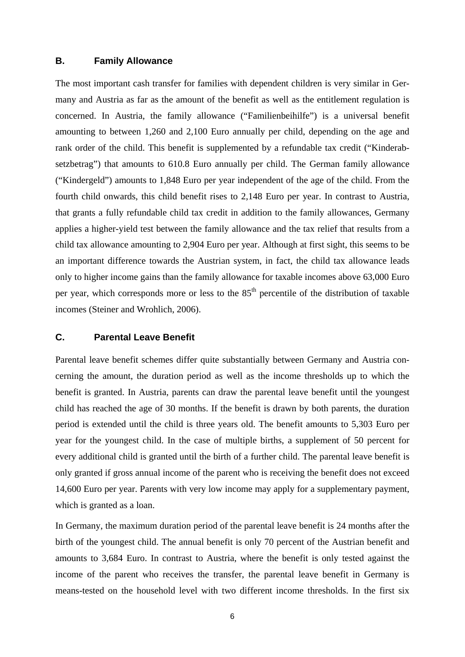#### **B. Family Allowance**

The most important cash transfer for families with dependent children is very similar in Germany and Austria as far as the amount of the benefit as well as the entitlement regulation is concerned. In Austria, the family allowance ("Familienbeihilfe") is a universal benefit amounting to between 1,260 and 2,100 Euro annually per child, depending on the age and rank order of the child. This benefit is supplemented by a refundable tax credit ("Kinderabsetzbetrag") that amounts to 610.8 Euro annually per child. The German family allowance ("Kindergeld") amounts to 1,848 Euro per year independent of the age of the child. From the fourth child onwards, this child benefit rises to 2,148 Euro per year. In contrast to Austria, that grants a fully refundable child tax credit in addition to the family allowances, Germany applies a higher-yield test between the family allowance and the tax relief that results from a child tax allowance amounting to 2,904 Euro per year. Although at first sight, this seems to be an important difference towards the Austrian system, in fact, the child tax allowance leads only to higher income gains than the family allowance for taxable incomes above 63,000 Euro per year, which corresponds more or less to the  $85<sup>th</sup>$  percentile of the distribution of taxable incomes (Steiner and Wrohlich, 2006).

#### **C. Parental Leave Benefit**

Parental leave benefit schemes differ quite substantially between Germany and Austria concerning the amount, the duration period as well as the income thresholds up to which the benefit is granted. In Austria, parents can draw the parental leave benefit until the youngest child has reached the age of 30 months. If the benefit is drawn by both parents, the duration period is extended until the child is three years old. The benefit amounts to 5,303 Euro per year for the youngest child. In the case of multiple births, a supplement of 50 percent for every additional child is granted until the birth of a further child. The parental leave benefit is only granted if gross annual income of the parent who is receiving the benefit does not exceed 14,600 Euro per year. Parents with very low income may apply for a supplementary payment, which is granted as a loan.

In Germany, the maximum duration period of the parental leave benefit is 24 months after the birth of the youngest child. The annual benefit is only 70 percent of the Austrian benefit and amounts to 3,684 Euro. In contrast to Austria, where the benefit is only tested against the income of the parent who receives the transfer, the parental leave benefit in Germany is means-tested on the household level with two different income thresholds. In the first six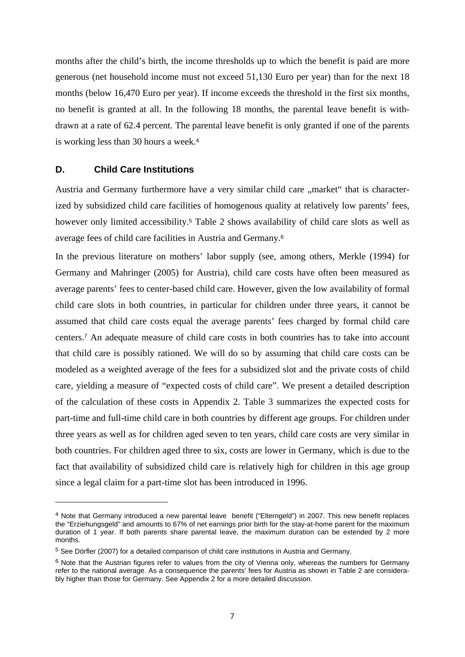months after the child's birth, the income thresholds up to which the benefit is paid are more generous (net household income must not exceed 51,130 Euro per year) than for the next 18 months (below 16,470 Euro per year). If income exceeds the threshold in the first six months, no benefit is granted at all. In the following 18 months, the parental leave benefit is withdrawn at a rate of 62.4 percent. The parental leave benefit is only granted if one of the parents is working less than 30 hours a week.<sup>4</sup>

#### **D. Child Care Institutions**

<u>.</u>

Austria and Germany furthermore have a very similar child care "market" that is characterized by subsidized child care facilities of homogenous quality at relatively low parents' fees, however only limited accessibility.<sup>5</sup> Table 2 shows availability of child care slots as well as average fees of child care facilities in Austria and Germany.<sup>6</sup>

In the previous literature on mothers' labor supply (see, among others, Merkle (1994) for Germany and Mahringer (2005) for Austria), child care costs have often been measured as average parents' fees to center-based child care. However, given the low availability of formal child care slots in both countries, in particular for children under three years, it cannot be assumed that child care costs equal the average parents' fees charged by formal child care centers.7 An adequate measure of child care costs in both countries has to take into account that child care is possibly rationed. We will do so by assuming that child care costs can be modeled as a weighted average of the fees for a subsidized slot and the private costs of child care, yielding a measure of "expected costs of child care". We present a detailed description of the calculation of these costs in Appendix 2. Table 3 summarizes the expected costs for part-time and full-time child care in both countries by different age groups. For children under three years as well as for children aged seven to ten years, child care costs are very similar in both countries. For children aged three to six, costs are lower in Germany, which is due to the fact that availability of subsidized child care is relatively high for children in this age group since a legal claim for a part-time slot has been introduced in 1996.

<sup>4</sup> Note that Germany introduced a new parental leave benefit ("Elterngeld") in 2007. This new benefit replaces the "Erziehungsgeld" and amounts to 67% of net earnings prior birth for the stay-at-home parent for the maximum duration of 1 year. If both parents share parental leave, the maximum duration can be extended by 2 more months.

<sup>5</sup> See Dörfler (2007) for a detailed comparison of child care institutions in Austria and Germany.

 $6$  Note that the Austrian figures refer to values from the city of Vienna only, whereas the numbers for Germany refer to the national average. As a consequence the parents' fees for Austria as shown in Table 2 are considerably higher than those for Germany. See Appendix 2 for a more detailed discussion.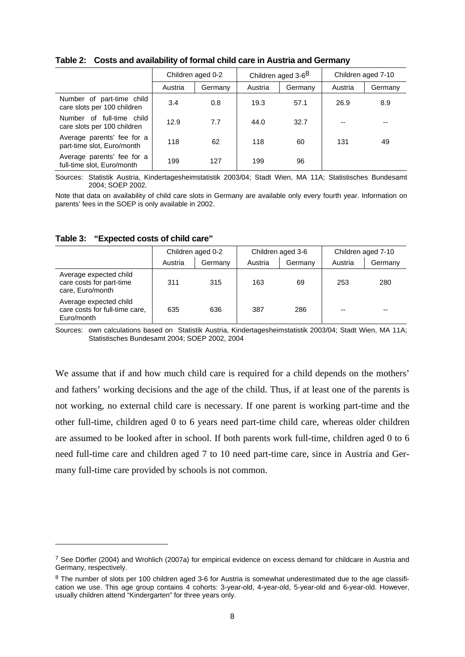|                                                          | Children aged 0-2 |         | Children aged 3-6 <sup>8</sup> |         | Children aged 7-10 |         |
|----------------------------------------------------------|-------------------|---------|--------------------------------|---------|--------------------|---------|
|                                                          | Austria           | Germany | Austria                        | Germany | Austria            | Germany |
| Number of part-time child<br>care slots per 100 children | 3.4               | 0.8     | 19.3                           | 57.1    | 26.9               | 8.9     |
| Number of full-time child<br>care slots per 100 children | 12.9              | 7.7     | 44.0                           | 32.7    |                    | --      |
| Average parents' fee for a<br>part-time slot, Euro/month | 118               | 62      | 118                            | 60      | 131                | 49      |
| Average parents' fee for a<br>full-time slot, Euro/month | 199               | 127     | 199                            | 96      |                    |         |

**Table 2: Costs and availability of formal child care in Austria and Germany** 

Sources: Statistik Austria, Kindertagesheimstatistik 2003/04; Stadt Wien, MA 11A; Statistisches Bundesamt 2004; SOEP 2002.

Note that data on availability of child care slots in Germany are available only every fourth year. Information on parents' fees in the SOEP is only available in 2002.

|                                                                        | Children aged 0-2 |         | Children aged 3-6 |         | Children aged 7-10 |         |
|------------------------------------------------------------------------|-------------------|---------|-------------------|---------|--------------------|---------|
|                                                                        | Austria           | Germany | Austria           | Germany | Austria            | Germany |
| Average expected child<br>care costs for part-time<br>care, Euro/month | 311               | 315     | 163               | 69      | 253                | 280     |
| Average expected child<br>care costs for full-time care,<br>Euro/month | 635               | 636     | 387               | 286     | $- -$              | --      |

**Table 3: "Expected costs of child care"** 

-

Sources: own calculations based on Statistik Austria, Kindertagesheimstatistik 2003/04; Stadt Wien, MA 11A; Statistisches Bundesamt 2004; SOEP 2002, 2004

We assume that if and how much child care is required for a child depends on the mothers' and fathers' working decisions and the age of the child. Thus, if at least one of the parents is not working, no external child care is necessary. If one parent is working part-time and the other full-time, children aged 0 to 6 years need part-time child care, whereas older children are assumed to be looked after in school. If both parents work full-time, children aged 0 to 6 need full-time care and children aged 7 to 10 need part-time care, since in Austria and Germany full-time care provided by schools is not common.

 $7$  See Dörfler (2004) and Wrohlich (2007a) for empirical evidence on excess demand for childcare in Austria and Germany, respectively.

<sup>&</sup>lt;sup>8</sup> The number of slots per 100 children aged 3-6 for Austria is somewhat underestimated due to the age classification we use. This age group contains 4 cohorts: 3-year-old, 4-year-old, 5-year-old and 6-year-old. However, usually children attend "Kindergarten" for three years only.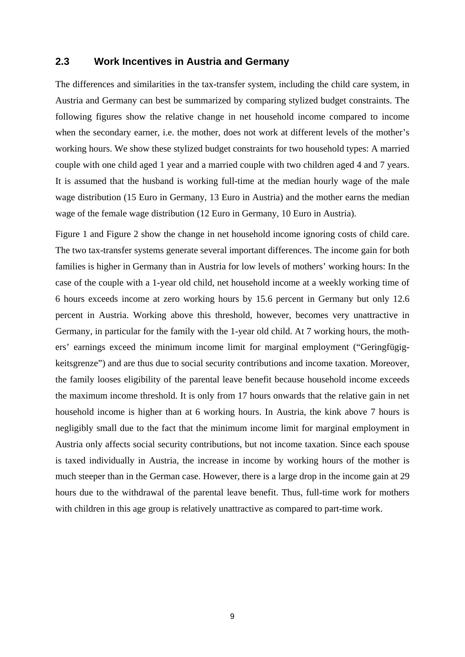## **2.3 Work Incentives in Austria and Germany**

The differences and similarities in the tax-transfer system, including the child care system, in Austria and Germany can best be summarized by comparing stylized budget constraints. The following figures show the relative change in net household income compared to income when the secondary earner, i.e. the mother, does not work at different levels of the mother's working hours. We show these stylized budget constraints for two household types: A married couple with one child aged 1 year and a married couple with two children aged 4 and 7 years. It is assumed that the husband is working full-time at the median hourly wage of the male wage distribution (15 Euro in Germany, 13 Euro in Austria) and the mother earns the median wage of the female wage distribution (12 Euro in Germany, 10 Euro in Austria).

Figure 1 and Figure 2 show the change in net household income ignoring costs of child care. The two tax-transfer systems generate several important differences. The income gain for both families is higher in Germany than in Austria for low levels of mothers' working hours: In the case of the couple with a 1-year old child, net household income at a weekly working time of 6 hours exceeds income at zero working hours by 15.6 percent in Germany but only 12.6 percent in Austria. Working above this threshold, however, becomes very unattractive in Germany, in particular for the family with the 1-year old child. At 7 working hours, the mothers' earnings exceed the minimum income limit for marginal employment ("Geringfügigkeitsgrenze") and are thus due to social security contributions and income taxation. Moreover, the family looses eligibility of the parental leave benefit because household income exceeds the maximum income threshold. It is only from 17 hours onwards that the relative gain in net household income is higher than at 6 working hours. In Austria, the kink above 7 hours is negligibly small due to the fact that the minimum income limit for marginal employment in Austria only affects social security contributions, but not income taxation. Since each spouse is taxed individually in Austria, the increase in income by working hours of the mother is much steeper than in the German case. However, there is a large drop in the income gain at 29 hours due to the withdrawal of the parental leave benefit. Thus, full-time work for mothers with children in this age group is relatively unattractive as compared to part-time work.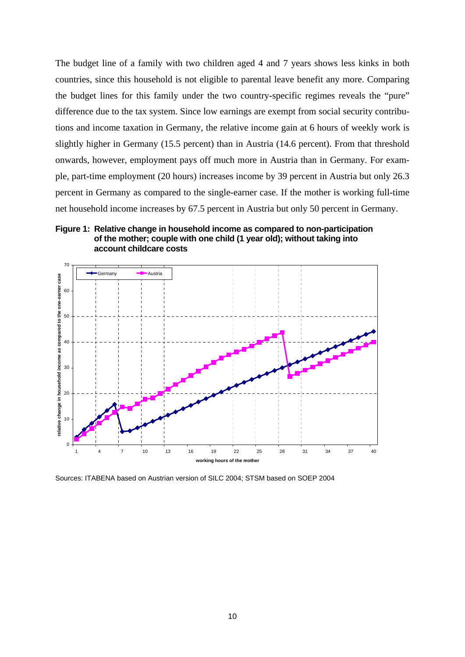The budget line of a family with two children aged 4 and 7 years shows less kinks in both countries, since this household is not eligible to parental leave benefit any more. Comparing the budget lines for this family under the two country-specific regimes reveals the "pure" difference due to the tax system. Since low earnings are exempt from social security contributions and income taxation in Germany, the relative income gain at 6 hours of weekly work is slightly higher in Germany (15.5 percent) than in Austria (14.6 percent). From that threshold onwards, however, employment pays off much more in Austria than in Germany. For example, part-time employment (20 hours) increases income by 39 percent in Austria but only 26.3 percent in Germany as compared to the single-earner case. If the mother is working full-time net household income increases by 67.5 percent in Austria but only 50 percent in Germany.

#### **Figure 1: Relative change in household income as compared to non-participation of the mother; couple with one child (1 year old); without taking into account childcare costs**



Sources: ITABENA based on Austrian version of SILC 2004; STSM based on SOEP 2004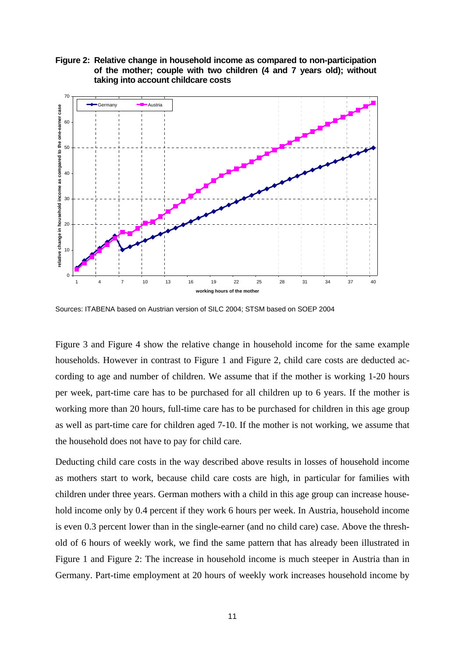



Sources: ITABENA based on Austrian version of SILC 2004; STSM based on SOEP 2004

Figure 3 and Figure 4 show the relative change in household income for the same example households. However in contrast to Figure 1 and Figure 2, child care costs are deducted according to age and number of children. We assume that if the mother is working 1-20 hours per week, part-time care has to be purchased for all children up to 6 years. If the mother is working more than 20 hours, full-time care has to be purchased for children in this age group as well as part-time care for children aged 7-10. If the mother is not working, we assume that the household does not have to pay for child care.

Deducting child care costs in the way described above results in losses of household income as mothers start to work, because child care costs are high, in particular for families with children under three years. German mothers with a child in this age group can increase household income only by 0.4 percent if they work 6 hours per week. In Austria, household income is even 0.3 percent lower than in the single-earner (and no child care) case. Above the threshold of 6 hours of weekly work, we find the same pattern that has already been illustrated in Figure 1 and Figure 2: The increase in household income is much steeper in Austria than in Germany. Part-time employment at 20 hours of weekly work increases household income by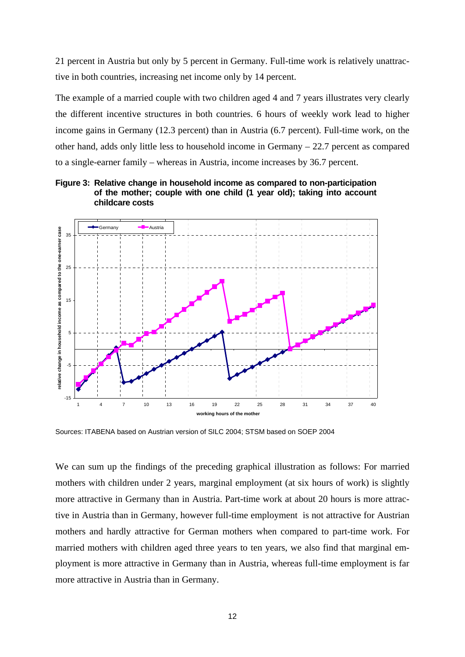21 percent in Austria but only by 5 percent in Germany. Full-time work is relatively unattractive in both countries, increasing net income only by 14 percent.

The example of a married couple with two children aged 4 and 7 years illustrates very clearly the different incentive structures in both countries. 6 hours of weekly work lead to higher income gains in Germany (12.3 percent) than in Austria (6.7 percent). Full-time work, on the other hand, adds only little less to household income in Germany – 22.7 percent as compared to a single-earner family – whereas in Austria, income increases by 36.7 percent.





Sources: ITABENA based on Austrian version of SILC 2004; STSM based on SOEP 2004

We can sum up the findings of the preceding graphical illustration as follows: For married mothers with children under 2 years, marginal employment (at six hours of work) is slightly more attractive in Germany than in Austria. Part-time work at about 20 hours is more attractive in Austria than in Germany, however full-time employment is not attractive for Austrian mothers and hardly attractive for German mothers when compared to part-time work. For married mothers with children aged three years to ten years, we also find that marginal employment is more attractive in Germany than in Austria, whereas full-time employment is far more attractive in Austria than in Germany.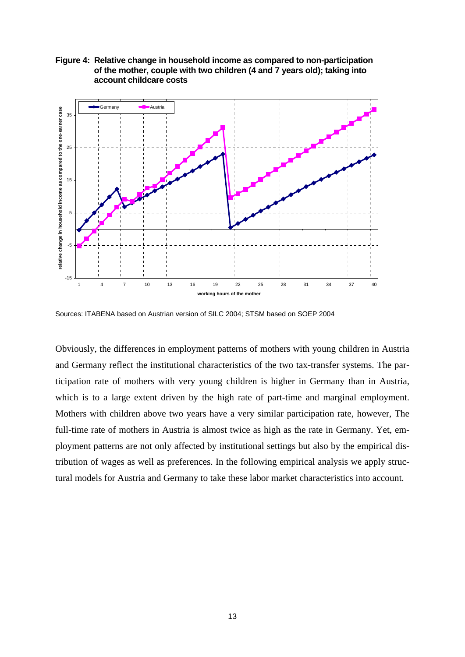

**Figure 4: Relative change in household income as compared to non-participation of the mother, couple with two children (4 and 7 years old); taking into account childcare costs** 

Sources: ITABENA based on Austrian version of SILC 2004; STSM based on SOEP 2004

Obviously, the differences in employment patterns of mothers with young children in Austria and Germany reflect the institutional characteristics of the two tax-transfer systems. The participation rate of mothers with very young children is higher in Germany than in Austria, which is to a large extent driven by the high rate of part-time and marginal employment. Mothers with children above two years have a very similar participation rate, however, The full-time rate of mothers in Austria is almost twice as high as the rate in Germany. Yet, employment patterns are not only affected by institutional settings but also by the empirical distribution of wages as well as preferences. In the following empirical analysis we apply structural models for Austria and Germany to take these labor market characteristics into account.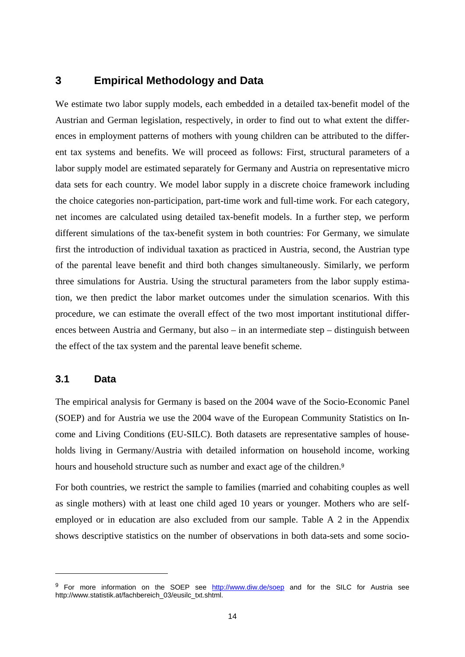## **3 Empirical Methodology and Data**

We estimate two labor supply models, each embedded in a detailed tax-benefit model of the Austrian and German legislation, respectively, in order to find out to what extent the differences in employment patterns of mothers with young children can be attributed to the different tax systems and benefits. We will proceed as follows: First, structural parameters of a labor supply model are estimated separately for Germany and Austria on representative micro data sets for each country. We model labor supply in a discrete choice framework including the choice categories non-participation, part-time work and full-time work. For each category, net incomes are calculated using detailed tax-benefit models. In a further step, we perform different simulations of the tax-benefit system in both countries: For Germany, we simulate first the introduction of individual taxation as practiced in Austria, second, the Austrian type of the parental leave benefit and third both changes simultaneously. Similarly, we perform three simulations for Austria. Using the structural parameters from the labor supply estimation, we then predict the labor market outcomes under the simulation scenarios. With this procedure, we can estimate the overall effect of the two most important institutional differences between Austria and Germany, but also – in an intermediate step – distinguish between the effect of the tax system and the parental leave benefit scheme.

#### **3.1 Data**

<u>.</u>

The empirical analysis for Germany is based on the 2004 wave of the Socio-Economic Panel (SOEP) and for Austria we use the 2004 wave of the European Community Statistics on Income and Living Conditions (EU-SILC). Both datasets are representative samples of households living in Germany/Austria with detailed information on household income, working hours and household structure such as number and exact age of the children.<sup>9</sup>

For both countries, we restrict the sample to families (married and cohabiting couples as well as single mothers) with at least one child aged 10 years or younger. Mothers who are selfemployed or in education are also excluded from our sample. Table A 2 in the Appendix shows descriptive statistics on the number of observations in both data-sets and some socio-

<sup>&</sup>lt;sup>9</sup> For more information on the SOEP see http://www.diw.de/soep and for the SILC for Austria see http://www.statistik.at/fachbereich\_03/eusilc\_txt.shtml.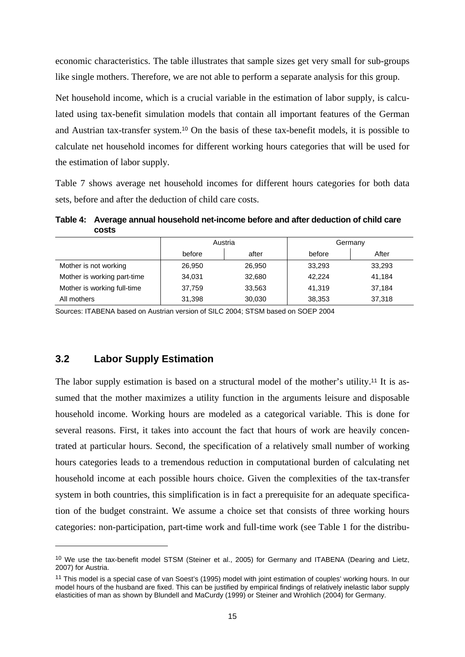economic characteristics. The table illustrates that sample sizes get very small for sub-groups like single mothers. Therefore, we are not able to perform a separate analysis for this group.

Net household income, which is a crucial variable in the estimation of labor supply, is calculated using tax-benefit simulation models that contain all important features of the German and Austrian tax-transfer system.10 On the basis of these tax-benefit models, it is possible to calculate net household incomes for different working hours categories that will be used for the estimation of labor supply.

Table 7 shows average net household incomes for different hours categories for both data sets, before and after the deduction of child care costs.

**Table 4: Average annual household net-income before and after deduction of child care costs** 

|                             | Austria |        | Germany |        |  |
|-----------------------------|---------|--------|---------|--------|--|
|                             | before  | after  | before  | After  |  |
| Mother is not working       | 26,950  | 26,950 | 33,293  | 33,293 |  |
| Mother is working part-time | 34.031  | 32,680 | 42.224  | 41.184 |  |
| Mother is working full-time | 37.759  | 33,563 | 41.319  | 37,184 |  |
| All mothers                 | 31,398  | 30,030 | 38,353  | 37,318 |  |

Sources: ITABENA based on Austrian version of SILC 2004; STSM based on SOEP 2004

## **3.2 Labor Supply Estimation**

-

The labor supply estimation is based on a structural model of the mother's utility.<sup>11</sup> It is assumed that the mother maximizes a utility function in the arguments leisure and disposable household income. Working hours are modeled as a categorical variable. This is done for several reasons. First, it takes into account the fact that hours of work are heavily concentrated at particular hours. Second, the specification of a relatively small number of working hours categories leads to a tremendous reduction in computational burden of calculating net household income at each possible hours choice. Given the complexities of the tax-transfer system in both countries, this simplification is in fact a prerequisite for an adequate specification of the budget constraint. We assume a choice set that consists of three working hours categories: non-participation, part-time work and full-time work (see Table 1 for the distribu-

<sup>&</sup>lt;sup>10</sup> We use the tax-benefit model STSM (Steiner et al., 2005) for Germany and ITABENA (Dearing and Lietz, 2007) for Austria.

<sup>11</sup> This model is a special case of van Soest's (1995) model with joint estimation of couples' working hours. In our model hours of the husband are fixed. This can be justified by empirical findings of relatively inelastic labor supply elasticities of man as shown by Blundell and MaCurdy (1999) or Steiner and Wrohlich (2004) for Germany.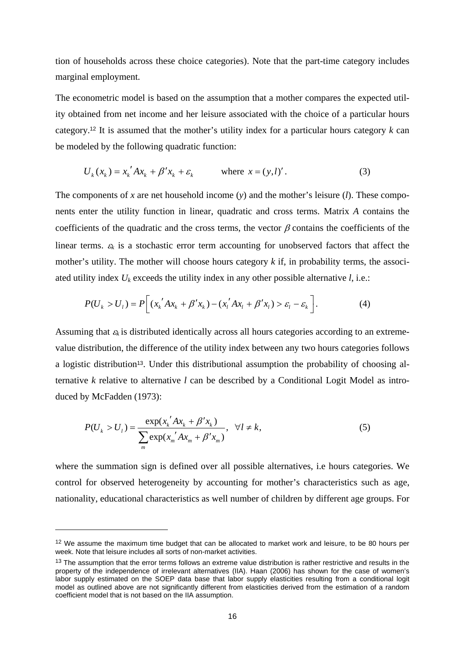tion of households across these choice categories). Note that the part-time category includes marginal employment.

The econometric model is based on the assumption that a mother compares the expected utility obtained from net income and her leisure associated with the choice of a particular hours category.12 It is assumed that the mother's utility index for a particular hours category *k* can be modeled by the following quadratic function:

$$
U_k(x_k) = x_k' A x_k + \beta' x_k + \varepsilon_k \qquad \text{where } x = (y, l)'.
$$
 (3)

The components of x are net household income  $(y)$  and the mother's leisure  $(l)$ . These components enter the utility function in linear, quadratic and cross terms. Matrix *A* contains the coefficients of the quadratic and the cross terms, the vector  $\beta$  contains the coefficients of the linear terms.  $\varepsilon_k$  is a stochastic error term accounting for unobserved factors that affect the mother's utility. The mother will choose hours category  $k$  if, in probability terms, the associated utility index  $U_k$  exceeds the utility index in any other possible alternative  $l$ , i.e.:

$$
P(U_k > U_l) = P\bigg[ (x_k' A x_k + \beta' x_k) - (x_l' A x_l + \beta' x_l) > \varepsilon_l - \varepsilon_k \bigg].
$$
 (4)

Assuming that  $\varepsilon_k$  is distributed identically across all hours categories according to an extremevalue distribution, the difference of the utility index between any two hours categories follows a logistic distribution<sup>13</sup>. Under this distributional assumption the probability of choosing alternative *k* relative to alternative *l* can be described by a Conditional Logit Model as introduced by McFadden (1973):

$$
P(U_k > U_l) = \frac{\exp(x_k' A x_k + \beta' x_k)}{\sum_{m} \exp(x_m' A x_m + \beta' x_m)}, \quad \forall l \neq k,
$$
\n(5)

where the summation sign is defined over all possible alternatives, i.e hours categories. We control for observed heterogeneity by accounting for mother's characteristics such as age, nationality, educational characteristics as well number of children by different age groups. For

<u>.</u>

<sup>&</sup>lt;sup>12</sup> We assume the maximum time budget that can be allocated to market work and leisure, to be 80 hours per week. Note that leisure includes all sorts of non-market activities.

 $13$  The assumption that the error terms follows an extreme value distribution is rather restrictive and results in the property of the independence of irrelevant alternatives (IIA). Haan (2006) has shown for the case of women's labor supply estimated on the SOEP data base that labor supply elasticities resulting from a conditional logit model as outlined above are not significantly different from elasticities derived from the estimation of a random coefficient model that is not based on the IIA assumption.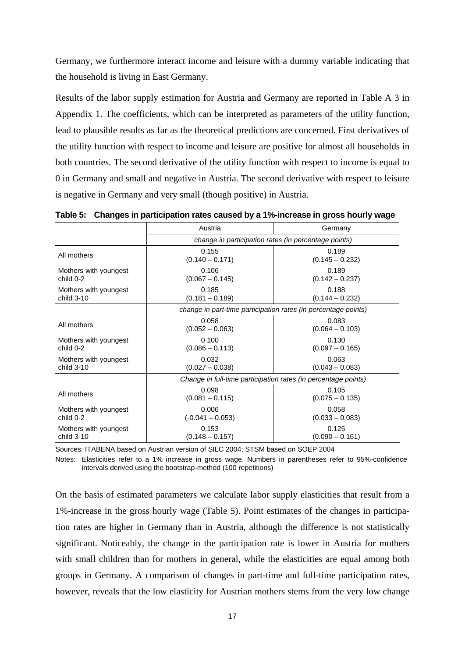Germany, we furthermore interact income and leisure with a dummy variable indicating that the household is living in East Germany.

Results of the labor supply estimation for Austria and Germany are reported in Table A 3 in Appendix 1. The coefficients, which can be interpreted as parameters of the utility function, lead to plausible results as far as the theoretical predictions are concerned. First derivatives of the utility function with respect to income and leisure are positive for almost all households in both countries. The second derivative of the utility function with respect to income is equal to 0 in Germany and small and negative in Austria. The second derivative with respect to leisure is negative in Germany and very small (though positive) in Austria.

|                                     | Austria                                                        | Germany                                                        |
|-------------------------------------|----------------------------------------------------------------|----------------------------------------------------------------|
|                                     |                                                                | change in participation rates (in percentage points)           |
| All mothers                         | 0.155<br>$(0.140 - 0.171)$                                     | 0.189<br>$(0.145 - 0.232)$                                     |
| Mothers with youngest<br>child 0-2  | 0.106<br>$(0.067 - 0.145)$                                     | 0.189<br>$(0.142 - 0.237)$                                     |
| Mothers with youngest<br>child 3-10 | 0.185<br>$(0.181 - 0.189)$                                     | 0.188<br>$(0.144 - 0.232)$                                     |
|                                     | change in part-time participation rates (in percentage points) |                                                                |
| All mothers                         | 0.058<br>$(0.052 - 0.063)$                                     | 0.083<br>$(0.064 - 0.103)$                                     |
| Mothers with youngest<br>child 0-2  | 0.100<br>$(0.086 - 0.113)$                                     | 0.130<br>$(0.097 - 0.165)$                                     |
| Mothers with youngest<br>child 3-10 | 0.032<br>$(0.027 - 0.038)$                                     | 0.063<br>$(0.043 - 0.083)$                                     |
|                                     |                                                                | Change in full-time participation rates (in percentage points) |
| All mothers                         | 0.098<br>$(0.081 - 0.115)$                                     | 0.105<br>$(0.075 - 0.135)$                                     |
| Mothers with youngest<br>child 0-2  | 0.006<br>$(-0.041 - 0.053)$                                    | 0.058<br>$(0.033 - 0.083)$                                     |
| Mothers with youngest<br>child 3-10 | 0.153<br>$(0.148 - 0.157)$                                     | 0.125<br>$(0.090 - 0.161)$                                     |

**Table 5: Changes in participation rates caused by a 1%-increase in gross hourly wage** 

Sources: ITABENA based on Austrian version of SILC 2004; STSM based on SOEP 2004

Notes: Elasticities refer to a 1% increase in gross wage. Numbers in parentheses refer to 95%-confidence intervals derived using the bootstrap-method (100 repetitions)

On the basis of estimated parameters we calculate labor supply elasticities that result from a 1%-increase in the gross hourly wage (Table 5). Point estimates of the changes in participation rates are higher in Germany than in Austria, although the difference is not statistically significant. Noticeably, the change in the participation rate is lower in Austria for mothers with small children than for mothers in general, while the elasticities are equal among both groups in Germany. A comparison of changes in part-time and full-time participation rates, however, reveals that the low elasticity for Austrian mothers stems from the very low change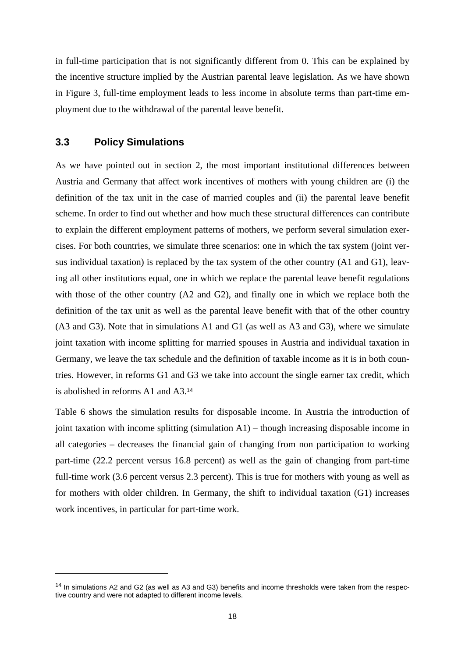in full-time participation that is not significantly different from 0. This can be explained by the incentive structure implied by the Austrian parental leave legislation. As we have shown in Figure 3, full-time employment leads to less income in absolute terms than part-time employment due to the withdrawal of the parental leave benefit.

#### **3.3 Policy Simulations**

<u>.</u>

As we have pointed out in section 2, the most important institutional differences between Austria and Germany that affect work incentives of mothers with young children are (i) the definition of the tax unit in the case of married couples and (ii) the parental leave benefit scheme. In order to find out whether and how much these structural differences can contribute to explain the different employment patterns of mothers, we perform several simulation exercises. For both countries, we simulate three scenarios: one in which the tax system (joint versus individual taxation) is replaced by the tax system of the other country (A1 and G1), leaving all other institutions equal, one in which we replace the parental leave benefit regulations with those of the other country (A2 and G2), and finally one in which we replace both the definition of the tax unit as well as the parental leave benefit with that of the other country (A3 and G3). Note that in simulations A1 and G1 (as well as A3 and G3), where we simulate joint taxation with income splitting for married spouses in Austria and individual taxation in Germany, we leave the tax schedule and the definition of taxable income as it is in both countries. However, in reforms G1 and G3 we take into account the single earner tax credit, which is abolished in reforms A1 and A3.<sup>14</sup>

Table 6 shows the simulation results for disposable income. In Austria the introduction of joint taxation with income splitting (simulation A1) – though increasing disposable income in all categories – decreases the financial gain of changing from non participation to working part-time (22.2 percent versus 16.8 percent) as well as the gain of changing from part-time full-time work (3.6 percent versus 2.3 percent). This is true for mothers with young as well as for mothers with older children. In Germany, the shift to individual taxation (G1) increases work incentives, in particular for part-time work.

<sup>&</sup>lt;sup>14</sup> In simulations A2 and G2 (as well as A3 and G3) benefits and income thresholds were taken from the respective country and were not adapted to different income levels.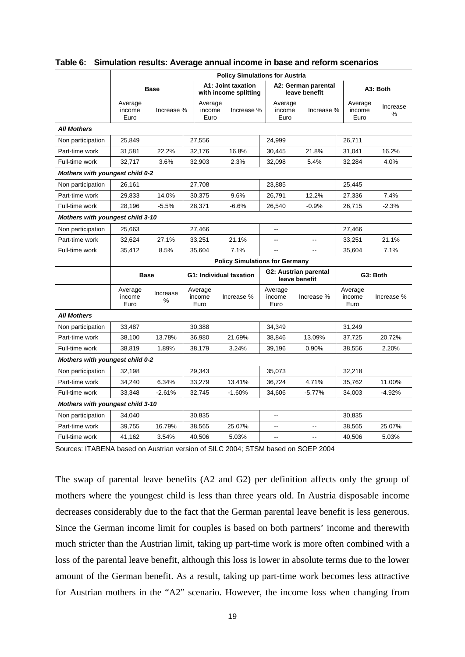|                                  | <b>Policy Simulations for Austria</b>  |               |  |                           |                                             |                           |                                        |                           |                  |  |
|----------------------------------|----------------------------------------|---------------|--|---------------------------|---------------------------------------------|---------------------------|----------------------------------------|---------------------------|------------------|--|
|                                  |                                        | <b>Base</b>   |  |                           | A1: Joint taxation<br>with income splitting |                           | A2: German parental<br>leave benefit   |                           | A3: Both         |  |
|                                  | Average<br>income<br>Euro              | Increase %    |  | Average<br>income<br>Euro | Increase %                                  | Average<br>income<br>Euro | Increase %                             | Average<br>income<br>Euro | Increase<br>$\%$ |  |
| <b>All Mothers</b>               |                                        |               |  |                           |                                             |                           |                                        |                           |                  |  |
| Non participation                | 25,849                                 |               |  | 27,556                    |                                             | 24,999                    |                                        | 26,711                    |                  |  |
| Part-time work                   | 31,581                                 | 22.2%         |  | 32,176                    | 16.8%                                       | 30,445                    | 21.8%                                  | 31,041                    | 16.2%            |  |
| Full-time work                   | 32.717                                 | 3.6%          |  | 32,903                    | 2.3%                                        | 32,098                    | 5.4%                                   | 32,284                    | 4.0%             |  |
|                                  | <b>Mothers with youngest child 0-2</b> |               |  |                           |                                             |                           |                                        |                           |                  |  |
| Non participation                | 26,161                                 |               |  | 27,708                    |                                             | 23,885                    |                                        | 25,445                    |                  |  |
| Part-time work                   | 29,833                                 | 14.0%         |  | 30,375                    | 9.6%                                        | 26,791                    | 12.2%                                  | 27,336                    | 7.4%             |  |
| Full-time work                   | 28,196                                 | $-5.5%$       |  | 28,371                    | $-6.6%$                                     | 26,540                    | $-0.9%$                                | 26,715                    | $-2.3%$          |  |
|                                  | Mothers with youngest child 3-10       |               |  |                           |                                             |                           |                                        |                           |                  |  |
| Non participation                | 25,663                                 |               |  | 27,466                    |                                             | $\overline{\phantom{a}}$  |                                        | 27,466                    |                  |  |
| Part-time work                   | 32,624                                 | 27.1%         |  | 33,251                    | 21.1%                                       | $\overline{\phantom{a}}$  | Ξ.                                     | 33,251                    | 21.1%            |  |
| Full-time work                   | 35,412                                 | 8.5%          |  | 35,604                    | 7.1%                                        | 44                        | $\overline{a}$                         | 35,604                    | 7.1%             |  |
|                                  |                                        |               |  |                           | <b>Policy Simulations for Germany</b>       |                           |                                        |                           |                  |  |
|                                  |                                        | <b>Base</b>   |  |                           | G1: Individual taxation                     |                           | G2: Austrian parental<br>leave benefit | G3: Both                  |                  |  |
|                                  | Average<br>income<br>Euro              | Increase<br>% |  | Average<br>income<br>Euro | Increase %                                  | Average<br>income<br>Euro | Increase %                             | Average<br>income<br>Euro | Increase %       |  |
| <b>All Mothers</b>               |                                        |               |  |                           |                                             |                           |                                        |                           |                  |  |
| Non participation                | 33,487                                 |               |  | 30,388                    |                                             | 34,349                    |                                        | 31,249                    |                  |  |
| Part-time work                   | 38,100                                 | 13.78%        |  | 36,980                    | 21.69%                                      | 38,846                    | 13.09%                                 | 37,725                    | 20.72%           |  |
| Full-time work                   | 38,819                                 | 1.89%         |  | 38,179                    | 3.24%                                       | 39,196                    | 0.90%                                  | 38,556                    | 2.20%            |  |
| Mothers with youngest child 0-2  |                                        |               |  |                           |                                             |                           |                                        |                           |                  |  |
| Non participation                | 32,198                                 |               |  | 29,343                    |                                             | 35,073                    |                                        | 32,218                    |                  |  |
| Part-time work                   | 34,240                                 | 6.34%         |  | 33,279                    | 13.41%                                      | 36,724                    | 4.71%                                  | 35,762                    | 11.00%           |  |
| Full-time work                   | 33,348                                 | $-2.61%$      |  | 32,745                    | $-1.60%$                                    | 34,606                    | $-5.77%$                               | 34,003                    | $-4.92%$         |  |
| Mothers with youngest child 3-10 |                                        |               |  |                           |                                             |                           |                                        |                           |                  |  |
| Non participation                | 34,040                                 |               |  | 30,835                    |                                             | --                        |                                        | 30,835                    |                  |  |
| Part-time work                   | 39,755                                 | 16.79%        |  | 38,565                    | 25.07%                                      | $\overline{a}$            | $\sim$                                 | 38,565                    | 25.07%           |  |
| Full-time work                   | 41,162                                 | 3.54%         |  | 40,506                    | 5.03%                                       | ۵.                        | $-$                                    | 40,506                    | 5.03%            |  |

#### **Table 6: Simulation results: Average annual income in base and reform scenarios**

Sources: ITABENA based on Austrian version of SILC 2004; STSM based on SOEP 2004

The swap of parental leave benefits (A2 and G2) per definition affects only the group of mothers where the youngest child is less than three years old. In Austria disposable income decreases considerably due to the fact that the German parental leave benefit is less generous. Since the German income limit for couples is based on both partners' income and therewith much stricter than the Austrian limit, taking up part-time work is more often combined with a loss of the parental leave benefit, although this loss is lower in absolute terms due to the lower amount of the German benefit. As a result, taking up part-time work becomes less attractive for Austrian mothers in the "A2" scenario. However, the income loss when changing from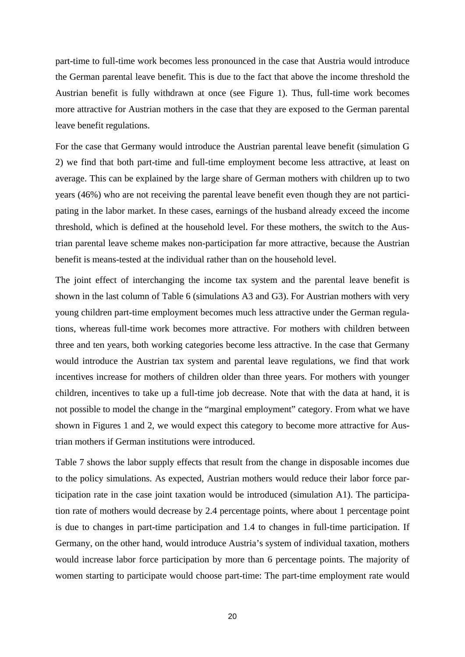part-time to full-time work becomes less pronounced in the case that Austria would introduce the German parental leave benefit. This is due to the fact that above the income threshold the Austrian benefit is fully withdrawn at once (see Figure 1). Thus, full-time work becomes more attractive for Austrian mothers in the case that they are exposed to the German parental leave benefit regulations.

For the case that Germany would introduce the Austrian parental leave benefit (simulation G 2) we find that both part-time and full-time employment become less attractive, at least on average. This can be explained by the large share of German mothers with children up to two years (46%) who are not receiving the parental leave benefit even though they are not participating in the labor market. In these cases, earnings of the husband already exceed the income threshold, which is defined at the household level. For these mothers, the switch to the Austrian parental leave scheme makes non-participation far more attractive, because the Austrian benefit is means-tested at the individual rather than on the household level.

The joint effect of interchanging the income tax system and the parental leave benefit is shown in the last column of Table 6 (simulations A3 and G3). For Austrian mothers with very young children part-time employment becomes much less attractive under the German regulations, whereas full-time work becomes more attractive. For mothers with children between three and ten years, both working categories become less attractive. In the case that Germany would introduce the Austrian tax system and parental leave regulations, we find that work incentives increase for mothers of children older than three years. For mothers with younger children, incentives to take up a full-time job decrease. Note that with the data at hand, it is not possible to model the change in the "marginal employment" category. From what we have shown in Figures 1 and 2, we would expect this category to become more attractive for Austrian mothers if German institutions were introduced.

Table 7 shows the labor supply effects that result from the change in disposable incomes due to the policy simulations. As expected, Austrian mothers would reduce their labor force participation rate in the case joint taxation would be introduced (simulation A1). The participation rate of mothers would decrease by 2.4 percentage points, where about 1 percentage point is due to changes in part-time participation and 1.4 to changes in full-time participation. If Germany, on the other hand, would introduce Austria's system of individual taxation, mothers would increase labor force participation by more than 6 percentage points. The majority of women starting to participate would choose part-time: The part-time employment rate would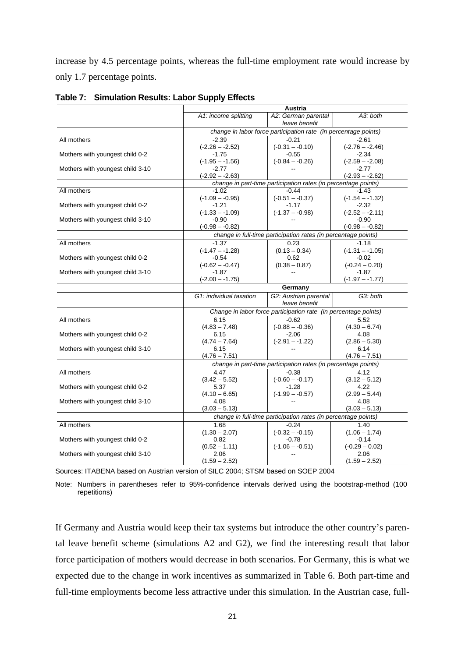increase by 4.5 percentage points, whereas the full-time employment rate would increase by only 1.7 percentage points.

|                                  | Austria                                                         |                                                                 |                   |  |  |  |
|----------------------------------|-----------------------------------------------------------------|-----------------------------------------------------------------|-------------------|--|--|--|
|                                  | A1: income splitting                                            | A2: German parental                                             | A3: both          |  |  |  |
|                                  |                                                                 | leave benefit                                                   |                   |  |  |  |
|                                  | change in labor force participation rate (in percentage points) |                                                                 |                   |  |  |  |
| All mothers                      | $-2.39$                                                         | $-0.21$                                                         | $-2.61$           |  |  |  |
|                                  | $(-2.26 - -2.52)$                                               | $(-0.31 - -0.10)$                                               | $(-2.76 - -2.46)$ |  |  |  |
| Mothers with youngest child 0-2  | $-1.75$                                                         | $-0.55$                                                         | $-2.34$           |  |  |  |
|                                  | $(-1.95 - -1.56)$                                               | $(-0.84 - -0.26)$                                               | $(-2.59 - -2.08)$ |  |  |  |
| Mothers with youngest child 3-10 | $-2.77$                                                         |                                                                 | $-2.77$           |  |  |  |
|                                  | $(-2.92 - 2.63)$                                                |                                                                 | $(-2.93 - -2.62)$ |  |  |  |
|                                  |                                                                 | change in part-time participation rates (in percentage points)  |                   |  |  |  |
| All mothers                      | $-1.02$                                                         | $-0.44$                                                         | $-1.43$           |  |  |  |
|                                  | $(-1.09 - -0.95)$                                               | $(-0.51 - -0.37)$                                               | $(-1.54 - 1.32)$  |  |  |  |
| Mothers with youngest child 0-2  | $-1.21$                                                         | $-1.17$                                                         | $-2.32$           |  |  |  |
|                                  | $(-1.33 - 1.09)$                                                | $(-1.37 - -0.98)$                                               | $(-2.52 - -2.11)$ |  |  |  |
| Mothers with youngest child 3-10 | $-0.90$                                                         |                                                                 | $-0.90$           |  |  |  |
|                                  | $(-0.98 - -0.82)$                                               |                                                                 | $(-0.98 - -0.82)$ |  |  |  |
|                                  |                                                                 | change in full-time participation rates (in percentage points)  |                   |  |  |  |
| All mothers                      | $-1.37$                                                         | 0.23                                                            | $-1.18$           |  |  |  |
|                                  | $(-1.47 - -1.28)$                                               | $(0.13 - 0.34)$                                                 | $(-1.31 - 1.05)$  |  |  |  |
| Mothers with youngest child 0-2  | $-0.54$                                                         | 0.62                                                            | $-0.02$           |  |  |  |
|                                  | $(-0.62 - -0.47)$                                               | $(0.38 - 0.87)$                                                 | $(-0.24 - 0.20)$  |  |  |  |
| Mothers with youngest child 3-10 | $-1.87$                                                         |                                                                 | $-1.87$           |  |  |  |
|                                  | $(-2.00 - -1.75)$                                               |                                                                 | $(-1.97 - -1.77)$ |  |  |  |
|                                  |                                                                 | Germany                                                         |                   |  |  |  |
|                                  | G1: individual taxation                                         | G2: Austrian parental                                           | G3: both          |  |  |  |
|                                  |                                                                 | leave benefit                                                   |                   |  |  |  |
|                                  |                                                                 | Change in labor force participation rate (in percentage points) |                   |  |  |  |
| All mothers                      | 6.15                                                            | $-0.62$                                                         | 5.52              |  |  |  |
|                                  | $(4.83 - 7.48)$                                                 | $(-0.88 - -0.36)$                                               | $(4.30 - 6.74)$   |  |  |  |
| Mothers with youngest child 0-2  | 6.15                                                            | $-2.06$                                                         | 4.08              |  |  |  |
|                                  | $(4.74 - 7.64)$                                                 | $(-2.91 - -1.22)$                                               | $(2.86 - 5.30)$   |  |  |  |
| Mothers with youngest child 3-10 | 6.15                                                            |                                                                 | 6.14              |  |  |  |
|                                  | $(4.76 - 7.51)$                                                 |                                                                 | $(4.76 - 7.51)$   |  |  |  |
|                                  |                                                                 | change in part-time participation rates (in percentage points)  |                   |  |  |  |
| All mothers                      | 4.47                                                            | $-0.38$                                                         | 4.12              |  |  |  |
|                                  | $(3.42 - 5.52)$                                                 | $(-0.60 - -0.17)$                                               | $(3.12 - 5.12)$   |  |  |  |
| Mothers with youngest child 0-2  | 5.37                                                            | $-1.28$                                                         | 4.22              |  |  |  |
|                                  | $(4.10 - 6.65)$                                                 | $(-1.99 - -0.57)$                                               | $(2.99 - 5.44)$   |  |  |  |
| Mothers with youngest child 3-10 | 4.08                                                            |                                                                 | 4.08              |  |  |  |
|                                  | $(3.03 - 5.13)$                                                 |                                                                 | $(3.03 - 5.13)$   |  |  |  |
|                                  |                                                                 | change in full-time participation rates (in percentage points)  |                   |  |  |  |
| All mothers                      | 1.68                                                            | $-0.24$                                                         | 1.40              |  |  |  |
|                                  | $(1.30 - 2.07)$                                                 | $(-0.32 - -0.15)$                                               | $(1.06 - 1.74)$   |  |  |  |
| Mothers with youngest child 0-2  | 0.82                                                            | $-0.78$                                                         | $-0.14$           |  |  |  |
|                                  | $(0.52 - 1.11)$                                                 | $(-1.06 - -0.51)$                                               | $(-0.29 - 0.02)$  |  |  |  |
| Mothers with youngest child 3-10 | 2.06                                                            | --                                                              | 2.06              |  |  |  |
|                                  | $(1.59 - 2.52)$                                                 |                                                                 | $(1.59 - 2.52)$   |  |  |  |

**Table 7: Simulation Results: Labor Supply Effects** 

Sources: ITABENA based on Austrian version of SILC 2004; STSM based on SOEP 2004

Note: Numbers in parentheses refer to 95%-confidence intervals derived using the bootstrap-method (100 repetitions)

If Germany and Austria would keep their tax systems but introduce the other country's parental leave benefit scheme (simulations A2 and G2), we find the interesting result that labor force participation of mothers would decrease in both scenarios. For Germany, this is what we expected due to the change in work incentives as summarized in Table 6. Both part-time and full-time employments become less attractive under this simulation. In the Austrian case, full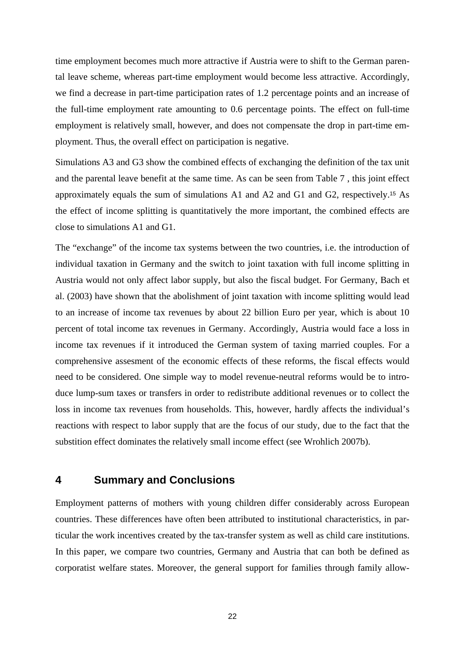time employment becomes much more attractive if Austria were to shift to the German parental leave scheme, whereas part-time employment would become less attractive. Accordingly, we find a decrease in part-time participation rates of 1.2 percentage points and an increase of the full-time employment rate amounting to 0.6 percentage points. The effect on full-time employment is relatively small, however, and does not compensate the drop in part-time employment. Thus, the overall effect on participation is negative.

Simulations A3 and G3 show the combined effects of exchanging the definition of the tax unit and the parental leave benefit at the same time. As can be seen from Table 7 , this joint effect approximately equals the sum of simulations A1 and A2 and G1 and G2, respectively.15 As the effect of income splitting is quantitatively the more important, the combined effects are close to simulations A1 and G1.

The "exchange" of the income tax systems between the two countries, i.e. the introduction of individual taxation in Germany and the switch to joint taxation with full income splitting in Austria would not only affect labor supply, but also the fiscal budget. For Germany, Bach et al. (2003) have shown that the abolishment of joint taxation with income splitting would lead to an increase of income tax revenues by about 22 billion Euro per year, which is about 10 percent of total income tax revenues in Germany. Accordingly, Austria would face a loss in income tax revenues if it introduced the German system of taxing married couples. For a comprehensive assesment of the economic effects of these reforms, the fiscal effects would need to be considered. One simple way to model revenue-neutral reforms would be to introduce lump-sum taxes or transfers in order to redistribute additional revenues or to collect the loss in income tax revenues from households. This, however, hardly affects the individual's reactions with respect to labor supply that are the focus of our study, due to the fact that the substition effect dominates the relatively small income effect (see Wrohlich 2007b).

## **4 Summary and Conclusions**

Employment patterns of mothers with young children differ considerably across European countries. These differences have often been attributed to institutional characteristics, in particular the work incentives created by the tax-transfer system as well as child care institutions. In this paper, we compare two countries, Germany and Austria that can both be defined as corporatist welfare states. Moreover, the general support for families through family allow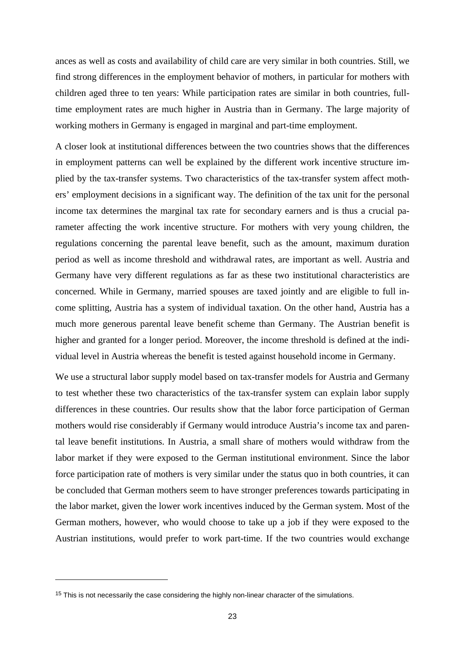ances as well as costs and availability of child care are very similar in both countries. Still, we find strong differences in the employment behavior of mothers, in particular for mothers with children aged three to ten years: While participation rates are similar in both countries, fulltime employment rates are much higher in Austria than in Germany. The large majority of working mothers in Germany is engaged in marginal and part-time employment.

A closer look at institutional differences between the two countries shows that the differences in employment patterns can well be explained by the different work incentive structure implied by the tax-transfer systems. Two characteristics of the tax-transfer system affect mothers' employment decisions in a significant way. The definition of the tax unit for the personal income tax determines the marginal tax rate for secondary earners and is thus a crucial parameter affecting the work incentive structure. For mothers with very young children, the regulations concerning the parental leave benefit, such as the amount, maximum duration period as well as income threshold and withdrawal rates, are important as well. Austria and Germany have very different regulations as far as these two institutional characteristics are concerned. While in Germany, married spouses are taxed jointly and are eligible to full income splitting, Austria has a system of individual taxation. On the other hand, Austria has a much more generous parental leave benefit scheme than Germany. The Austrian benefit is higher and granted for a longer period. Moreover, the income threshold is defined at the individual level in Austria whereas the benefit is tested against household income in Germany.

We use a structural labor supply model based on tax-transfer models for Austria and Germany to test whether these two characteristics of the tax-transfer system can explain labor supply differences in these countries. Our results show that the labor force participation of German mothers would rise considerably if Germany would introduce Austria's income tax and parental leave benefit institutions. In Austria, a small share of mothers would withdraw from the labor market if they were exposed to the German institutional environment. Since the labor force participation rate of mothers is very similar under the status quo in both countries, it can be concluded that German mothers seem to have stronger preferences towards participating in the labor market, given the lower work incentives induced by the German system. Most of the German mothers, however, who would choose to take up a job if they were exposed to the Austrian institutions, would prefer to work part-time. If the two countries would exchange

-

<sup>&</sup>lt;sup>15</sup> This is not necessarily the case considering the highly non-linear character of the simulations.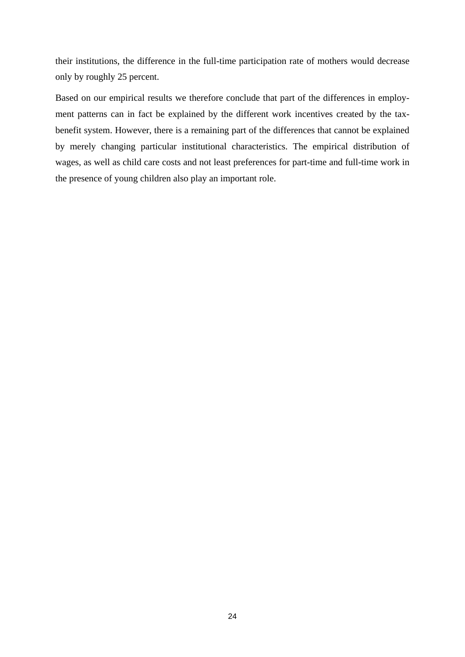their institutions, the difference in the full-time participation rate of mothers would decrease only by roughly 25 percent.

Based on our empirical results we therefore conclude that part of the differences in employment patterns can in fact be explained by the different work incentives created by the taxbenefit system. However, there is a remaining part of the differences that cannot be explained by merely changing particular institutional characteristics. The empirical distribution of wages, as well as child care costs and not least preferences for part-time and full-time work in the presence of young children also play an important role.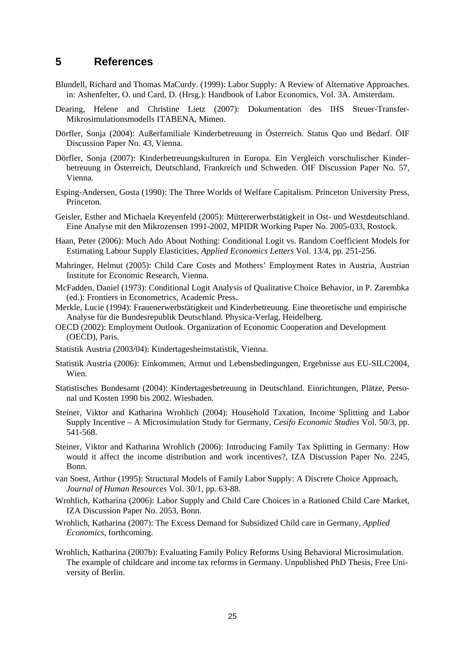## **5 References**

- Blundell, Richard and Thomas MaCurdy. (1999): Labor Supply: A Review of Alternative Approaches. in: Ashenfelter, O. und Card, D. (Hrsg.): Handbook of Labor Economics, Vol. 3A. Amsterdam.
- Dearing, Helene and Christine Lietz (2007): Dokumentation des IHS Steuer-Transfer-Mikrosimulationsmodells ITABENA, Mimeo.
- Dörfler, Sonja (2004): Außerfamiliale Kinderbetreuung in Österreich. Status Quo und Bedarf. ÖIF Discussion Paper No. 43, Vienna.
- Dörfler, Sonja (2007): Kinderbetreuungskulturen in Europa. Ein Vergleich vorschulischer Kinderbetreuung in Österreich, Deutschland, Frankreich und Schweden. ÖIF Discussion Paper No. 57, Vienna.
- Esping-Andersen, Gosta (1990): The Three Worlds of Welfare Capitalism. Princeton University Press, Princeton.
- Geisler, Esther and Michaela Kreyenfeld (2005): Müttererwerbstätigkeit in Ost- und Westdeutschland. Eine Analyse mit den Mikrozensen 1991-2002, MPIDR Working Paper No. 2005-033, Rostock.
- Haan, Peter (2006): Much Ado About Nothing: Conditional Logit vs. Random Coefficient Models for Estimating Labour Supply Elasticities, *Applied Economics Letters* Vol. 13/4, pp. 251-256.
- Mahringer, Helmut (2005): Child Care Costs and Mothers' Employment Rates in Austria, Austrian Institute for Economic Research, Vienna.
- McFadden, Daniel (1973): Conditional Logit Analysis of Qualitative Choice Behavior, in P. Zarembka (ed.): Frontiers in Econometrics, Academic Press.
- Merkle, Lucie (1994): Frauenerwerbstätigkeit und Kinderbetreuung. Eine theoretische und empirische Analyse für die Bundesrepublik Deutschland. Physica-Verlag, Heidelberg.
- OECD (2002): Employment Outlook. Organization of Economic Cooperation and Development (OECD), Paris.
- Statistik Austria (2003/04): Kindertagesheimstatistik, Vienna.
- Statistik Austria (2006): Einkommen, Armut und Lebensbedingungen, Ergebnisse aus EU-SILC2004, Wien.
- Statistisches Bundesamt (2004): Kindertagesbetreuung in Deutschland. Einrichtungen, Plätze, Personal und Kosten 1990 bis 2002. Wiesbaden.
- Steiner, Viktor and Katharina Wrohlich (2004): Household Taxation, Income Splitting and Labor Supply Incentive – A Microsimulation Study for Germany, *Cesifo Economic Studies* Vol. 50/3, pp. 541-568.
- Steiner, Viktor and Katharina Wrohlich (2006): Introducing Family Tax Splitting in Germany: How would it affect the income distribution and work incentives?, IZA Discussion Paper No. 2245, Bonn.
- van Soest, Arthur (1995): Structural Models of Family Labor Supply: A Discrete Choice Approach, *Journal of Human Resources* Vol. 30/1, pp. 63-88.
- Wrohlich, Katharina (2006): Labor Supply and Child Care Choices in a Rationed Child Care Market, IZA Discussion Paper No. 2053, Bonn.
- Wrohlich, Katharina (2007): The Excess Demand for Subsidized Child care in Germany, *Applied Economics*, forthcoming.
- Wrohlich, Katharina (2007b): Evaluating Family Policy Reforms Using Behavioral Microsimulation. The example of childcare and income tax reforms in Germany. Unpublished PhD Thesis, Free University of Berlin.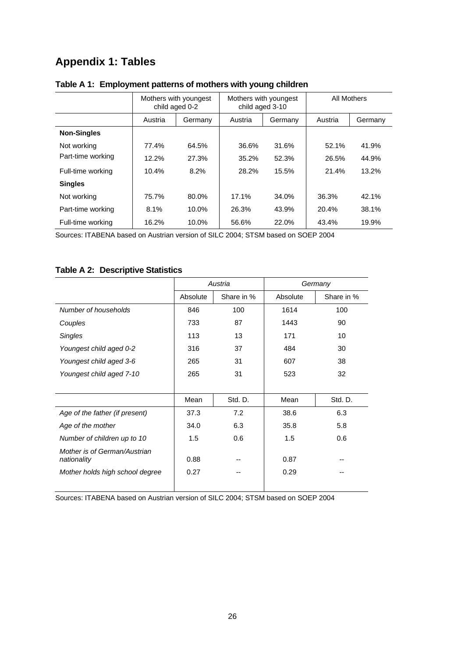## **Appendix 1: Tables**

|                    | Mothers with youngest<br>child aged 0-2 |         | Mothers with youngest<br>child aged 3-10 |         | All Mothers |         |
|--------------------|-----------------------------------------|---------|------------------------------------------|---------|-------------|---------|
|                    | Austria                                 | Germany | Austria                                  | Germany | Austria     | Germany |
| <b>Non-Singles</b> |                                         |         |                                          |         |             |         |
| Not working        | 77.4%                                   | 64.5%   | 36.6%                                    | 31.6%   | 52.1%       | 41.9%   |
| Part-time working  | 12.2%                                   | 27.3%   | 35.2%                                    | 52.3%   | 26.5%       | 44.9%   |
| Full-time working  | 10.4%                                   | 8.2%    | 28.2%                                    | 15.5%   | 21.4%       | 13.2%   |
| <b>Singles</b>     |                                         |         |                                          |         |             |         |
| Not working        | 75.7%                                   | 80.0%   | 17.1%                                    | 34.0%   | 36.3%       | 42.1%   |
| Part-time working  | 8.1%                                    | 10.0%   | 26.3%                                    | 43.9%   | 20.4%       | 38.1%   |
| Full-time working  | 16.2%                                   | 10.0%   | 56.6%                                    | 22.0%   | 43.4%       | 19.9%   |

## **Table A 1: Employment patterns of mothers with young children**

Sources: ITABENA based on Austrian version of SILC 2004; STSM based on SOEP 2004

## **Table A 2: Descriptive Statistics**

|                                             |          | Austria    |          | Germany    |
|---------------------------------------------|----------|------------|----------|------------|
|                                             | Absolute | Share in % | Absolute | Share in % |
| Number of households                        | 846      | 100        | 1614     | 100        |
| Couples                                     | 733      | 87         | 1443     | 90         |
| <b>Singles</b>                              | 113      | 13         | 171      | 10         |
| Youngest child aged 0-2                     | 316      | 37         | 484      | 30         |
| Youngest child aged 3-6                     | 265      | 31         | 607      | 38         |
| Youngest child aged 7-10                    | 265      | 31         | 523      | 32         |
|                                             |          |            |          |            |
|                                             | Mean     | Std. D.    | Mean     | Std. D.    |
| Age of the father (if present)              | 37.3     | 7.2        | 38.6     | 6.3        |
| Age of the mother                           | 34.0     | 6.3        | 35.8     | 5.8        |
| Number of children up to 10                 | 1.5      | 0.6        | 1.5      | 0.6        |
| Mother is of German/Austrian<br>nationality | 0.88     |            | 0.87     |            |
| Mother holds high school degree             | 0.27     |            | 0.29     |            |

Sources: ITABENA based on Austrian version of SILC 2004; STSM based on SOEP 2004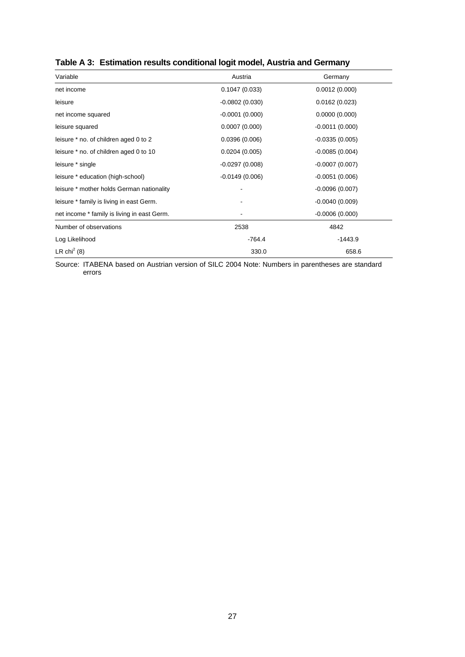| Variable                                    | Austria          | Germany          |
|---------------------------------------------|------------------|------------------|
| net income                                  | 0.1047(0.033)    | 0.0012(0.000)    |
| leisure                                     | $-0.0802(0.030)$ | 0.0162(0.023)    |
| net income squared                          | $-0.0001(0.000)$ | 0.0000(0.000)    |
| leisure squared                             | 0.0007(0.000)    | $-0.0011(0.000)$ |
| leisure * no. of children aged 0 to 2       | 0.0396(0.006)    | $-0.0335(0.005)$ |
| leisure * no. of children aged 0 to 10      | 0.0204(0.005)    | $-0.0085(0.004)$ |
| leisure * single                            | $-0.0297(0.008)$ | $-0.0007(0.007)$ |
| leisure * education (high-school)           | $-0.0149(0.006)$ | $-0.0051(0.006)$ |
| leisure * mother holds German nationality   |                  | $-0.0096(0.007)$ |
| leisure * family is living in east Germ.    |                  | $-0.0040(0.009)$ |
| net income * family is living in east Germ. |                  | $-0.0006(0.000)$ |
| Number of observations                      | 2538             | 4842             |
| Log Likelihood                              | $-764.4$         | $-1443.9$        |
| LR chi <sup>2</sup> (8)                     | 330.0            | 658.6            |

## **Table A 3: Estimation results conditional logit model, Austria and Germany**

Source: ITABENA based on Austrian version of SILC 2004 Note: Numbers in parentheses are standard errors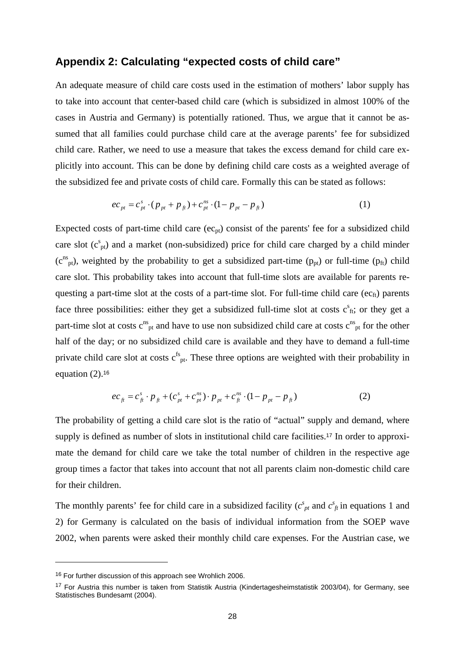## **Appendix 2: Calculating "expected costs of child care"**

An adequate measure of child care costs used in the estimation of mothers' labor supply has to take into account that center-based child care (which is subsidized in almost 100% of the cases in Austria and Germany) is potentially rationed. Thus, we argue that it cannot be assumed that all families could purchase child care at the average parents' fee for subsidized child care. Rather, we need to use a measure that takes the excess demand for child care explicitly into account. This can be done by defining child care costs as a weighted average of the subsidized fee and private costs of child care. Formally this can be stated as follows:

$$
ec_{pt} = c_{pt}^{s} \cdot (p_{pt} + p_{ft}) + c_{pt}^{ns} \cdot (1 - p_{pt} - p_{ft})
$$
 (1)

Expected costs of part-time child care  $(ec_{pt})$  consist of the parents' fee for a subsidized child care slot  $(c<sup>s</sup><sub>pt</sub>)$  and a market (non-subsidized) price for child care charged by a child minder  $(c^{ns}_{pt})$ , weighted by the probability to get a subsidized part-time ( $p_{pt}$ ) or full-time ( $p_{ft}$ ) child care slot. This probability takes into account that full-time slots are available for parents requesting a part-time slot at the costs of a part-time slot. For full-time child care ( $ec<sub>fi</sub>$ ) parents face three possibilities: either they get a subsidized full-time slot at costs  $c<sup>s</sup>_{ft}$ ; or they get a part-time slot at costs  $c_{\rm pt}^{\rm ns}$  and have to use non subsidized child care at costs  $c_{\rm pt}^{\rm ns}$  for the other half of the day; or no subsidized child care is available and they have to demand a full-time private child care slot at costs  $c^{fs}$ <sub>pt</sub>. These three options are weighted with their probability in equation  $(2)$ .<sup>16</sup>

$$
ec_{\hat{H}} = c_{\hat{H}}^s \cdot p_{\hat{H}} + (c_{\hat{P}t}^s + c_{\hat{P}t}^{ns}) \cdot p_{\hat{P}t} + c_{\hat{H}}^{ns} \cdot (1 - p_{\hat{P}t} - p_{\hat{H}})
$$
(2)

The probability of getting a child care slot is the ratio of "actual" supply and demand, where supply is defined as number of slots in institutional child care facilities.<sup>17</sup> In order to approximate the demand for child care we take the total number of children in the respective age group times a factor that takes into account that not all parents claim non-domestic child care for their children.

The monthly parents' fee for child care in a subsidized facility  $(c<sup>s</sup><sub>pt</sub>$  and  $c<sup>s</sup><sub>ft</sub>$  in equations 1 and 2) for Germany is calculated on the basis of individual information from the SOEP wave 2002, when parents were asked their monthly child care expenses. For the Austrian case, we

-

<sup>&</sup>lt;sup>16</sup> For further discussion of this approach see Wrohlich 2006.

<sup>&</sup>lt;sup>17</sup> For Austria this number is taken from Statistik Austria (Kindertagesheimstatistik 2003/04), for Germany, see Statistisches Bundesamt (2004).